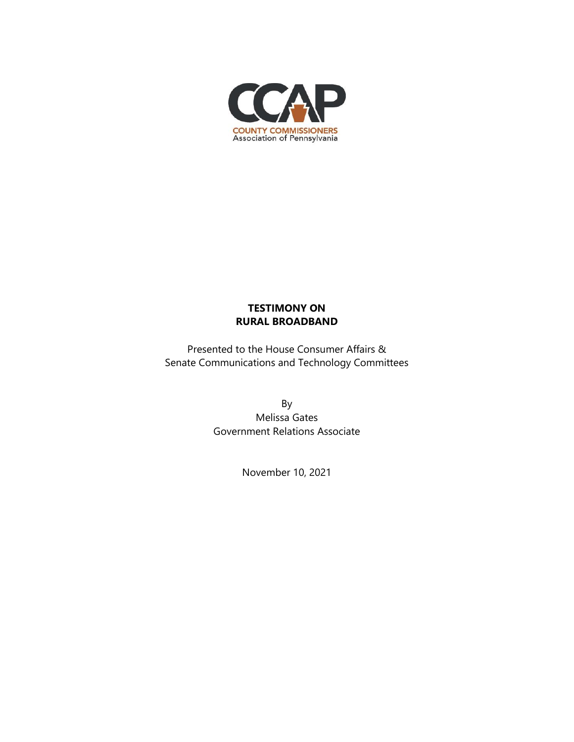

## **TESTIMONY ON RURAL BROADBAND**

Presented to the House Consumer Affairs & Senate Communications and Technology Committees

> By Melissa Gates Government Relations Associate

> > November 10, 2021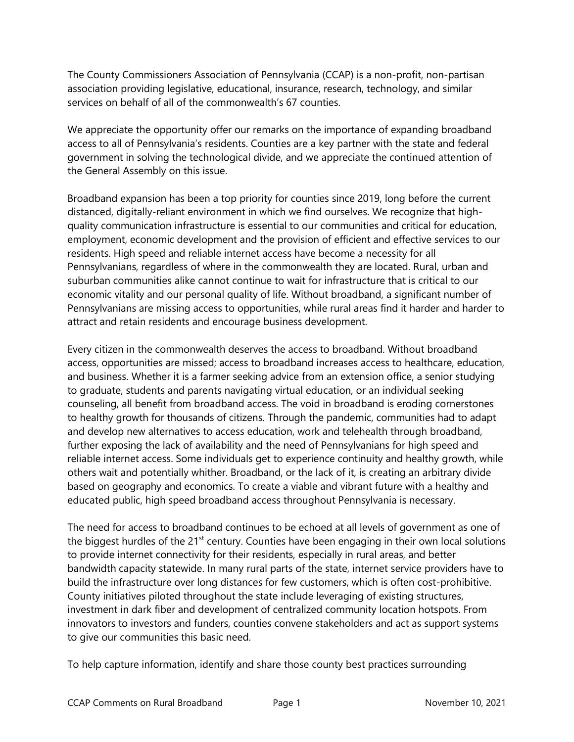The County Commissioners Association of Pennsylvania (CCAP) is a non-profit, non-partisan association providing legislative, educational, insurance, research, technology, and similar services on behalf of all of the commonwealth's 67 counties.

We appreciate the opportunity offer our remarks on the importance of expanding broadband access to all of Pennsylvania's residents. Counties are a key partner with the state and federal government in solving the technological divide, and we appreciate the continued attention of the General Assembly on this issue.

Broadband expansion has been a top priority for counties since 2019, long before the current distanced, digitally-reliant environment in which we find ourselves. We recognize that highquality communication infrastructure is essential to our communities and critical for education, employment, economic development and the provision of efficient and effective services to our residents. High speed and reliable internet access have become a necessity for all Pennsylvanians, regardless of where in the commonwealth they are located. Rural, urban and suburban communities alike cannot continue to wait for infrastructure that is critical to our economic vitality and our personal quality of life. Without broadband, a significant number of Pennsylvanians are missing access to opportunities, while rural areas find it harder and harder to attract and retain residents and encourage business development.

Every citizen in the commonwealth deserves the access to broadband. Without broadband access, opportunities are missed; access to broadband increases access to healthcare, education, and business. Whether it is a farmer seeking advice from an extension office, a senior studying to graduate, students and parents navigating virtual education, or an individual seeking counseling, all benefit from broadband access. The void in broadband is eroding cornerstones to healthy growth for thousands of citizens. Through the pandemic, communities had to adapt and develop new alternatives to access education, work and telehealth through broadband, further exposing the lack of availability and the need of Pennsylvanians for high speed and reliable internet access. Some individuals get to experience continuity and healthy growth, while others wait and potentially whither. Broadband, or the lack of it, is creating an arbitrary divide based on geography and economics. To create a viable and vibrant future with a healthy and educated public, high speed broadband access throughout Pennsylvania is necessary.

The need for access to broadband continues to be echoed at all levels of government as one of the biggest hurdles of the 21<sup>st</sup> century. Counties have been engaging in their own local solutions to provide internet connectivity for their residents, especially in rural areas, and better bandwidth capacity statewide. In many rural parts of the state, internet service providers have to build the infrastructure over long distances for few customers, which is often cost-prohibitive. County initiatives piloted throughout the state include leveraging of existing structures, investment in dark fiber and development of centralized community location hotspots. From innovators to investors and funders, counties convene stakeholders and act as support systems to give our communities this basic need.

To help capture information, identify and share those county best practices surrounding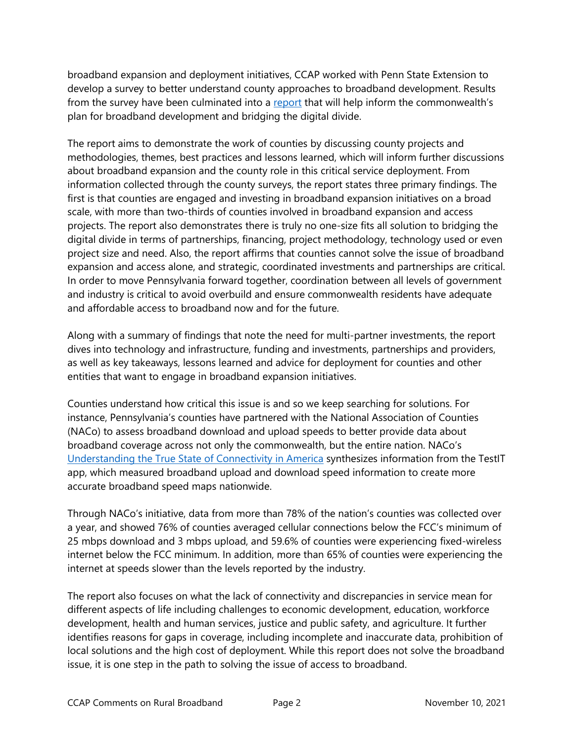broadband expansion and deployment initiatives, CCAP worked with Penn State Extension to develop a survey to better understand county approaches to broadband development. Results from the survey have been culminated into a [report](https://www.pacounties.org/getmedia/1a24d642-0ab6-4f31-8630-9471fff4f0e4/CountyBroadbandReportFINAL20210716.pdf) that will help inform the commonwealth's plan for broadband development and bridging the digital divide.

The report aims to demonstrate the work of counties by discussing county projects and methodologies, themes, best practices and lessons learned, which will inform further discussions about broadband expansion and the county role in this critical service deployment. From information collected through the county surveys, the report states three primary findings. The first is that counties are engaged and investing in broadband expansion initiatives on a broad scale, with more than two-thirds of counties involved in broadband expansion and access projects. The report also demonstrates there is truly no one-size fits all solution to bridging the digital divide in terms of partnerships, financing, project methodology, technology used or even project size and need. Also, the report affirms that counties cannot solve the issue of broadband expansion and access alone, and strategic, coordinated investments and partnerships are critical. In order to move Pennsylvania forward together, coordination between all levels of government and industry is critical to avoid overbuild and ensure commonwealth residents have adequate and affordable access to broadband now and for the future.

Along with a summary of findings that note the need for multi-partner investments, the report dives into technology and infrastructure, funding and investments, partnerships and providers, as well as key takeaways, lessons learned and advice for deployment for counties and other entities that want to engage in broadband expansion initiatives.

Counties understand how critical this issue is and so we keep searching for solutions. For instance, Pennsylvania's counties have partnered with the National Association of Counties (NACo) to assess broadband download and upload speeds to better provide data about broadband coverage across not only the commonwealth, but the entire nation. NACo's [Understanding the True State of Connectivity in America](https://www.naco.org/sites/default/files/documents/Understanding-the-True-State-of-Connectivity-in-America.pdf) synthesizes information from the TestIT app, which measured broadband upload and download speed information to create more accurate broadband speed maps nationwide.

Through NACo's initiative, data from more than 78% of the nation's counties was collected over a year, and showed 76% of counties averaged cellular connections below the FCC's minimum of 25 mbps download and 3 mbps upload, and 59.6% of counties were experiencing fixed-wireless internet below the FCC minimum. In addition, more than 65% of counties were experiencing the internet at speeds slower than the levels reported by the industry.

The report also focuses on what the lack of connectivity and discrepancies in service mean for different aspects of life including challenges to economic development, education, workforce development, health and human services, justice and public safety, and agriculture. It further identifies reasons for gaps in coverage, including incomplete and inaccurate data, prohibition of local solutions and the high cost of deployment. While this report does not solve the broadband issue, it is one step in the path to solving the issue of access to broadband.